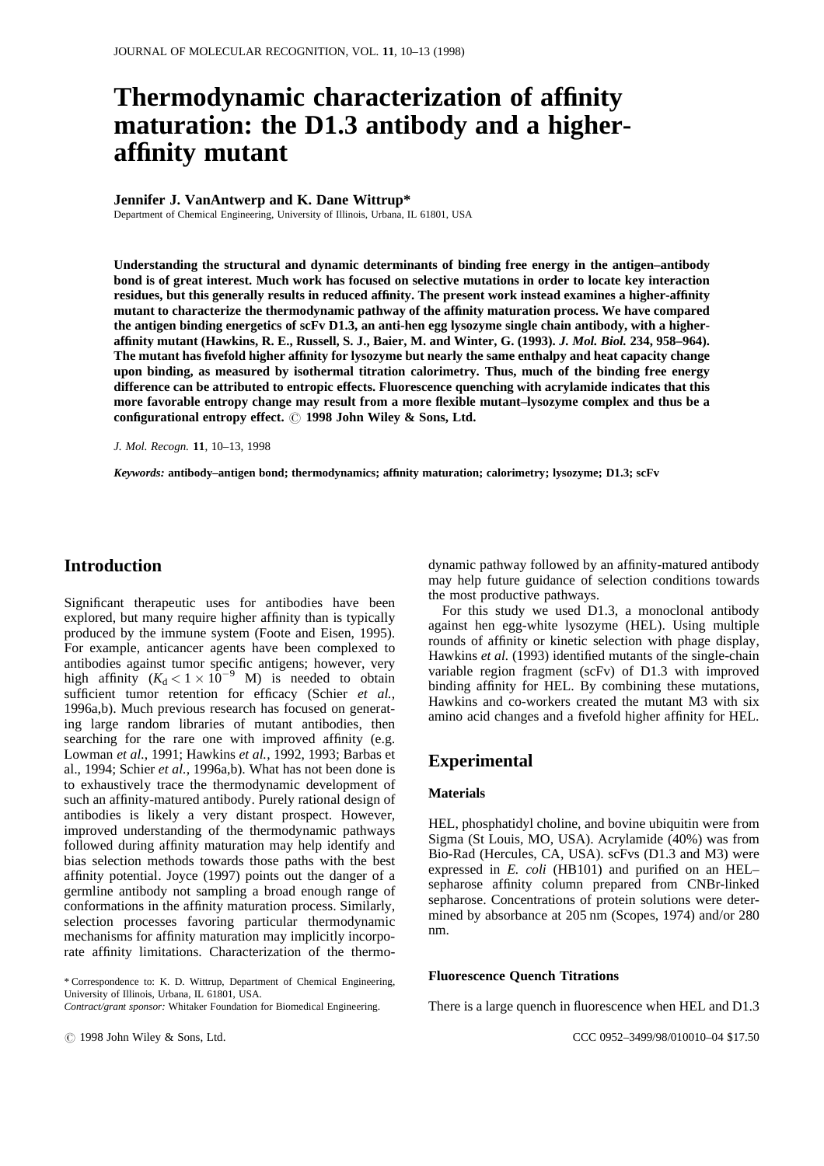# **Thermodynamic characterization of affinity maturation: the D1.3 antibody and a higheraffinity mutant**

#### **Jennifer J. VanAntwerp and K. Dane Wittrup\***

Department of Chemical Engineering, University of Illinois, Urbana, IL 61801, USA

**Understanding the structural and dynamic determinants of binding free energy in the antigen–antibody bond is of great interest. Much work has focused on selective mutations in order to locate key interaction residues, but this generally results in reduced affinity. The present work instead examines a higher-affinity mutant to characterize the thermodynamic pathway of the affinity maturation process. We have compared the antigen binding energetics of scFv D1.3, an anti-hen egg lysozyme single chain antibody, with a higheraffinity mutant (Hawkins, R. E., Russell, S. J., Baier, M. and Winter, G. (1993).** *J. Mol. Biol.* **234, 958–964). The mutant has fivefold higher affinity for lysozyme but nearly the same enthalpy and heat capacity change upon binding, as measured by isothermal titration calorimetry. Thus, much of the binding free energy difference can be attributed to entropic effects. Fluorescence quenching with acrylamide indicates that this more favorable entropy change may result from a more flexible mutant–lysozyme complex and thus be a** configurational entropy effect.  $\odot$  1998 John Wiley & Sons, Ltd.

*J. Mol. Recogn.* **11**, 10–13, 1998

*Keywords:* **antibody–antigen bond; thermodynamics; affinity maturation; calorimetry; lysozyme; D1.3; scFv**

# **Introduction**

Significant therapeutic uses for antibodies have been explored, but many require higher affinity than is typically produced by the immune system (Foote and Eisen, 1995). For example, anticancer agents have been complexed to antibodies against tumor specific antigens; however, very high affinity  $(K_d < 1 \times 10^{-9}$  M) is needed to obtain sufficient tumor retention for efficacy (Schier *et al.*, 1996a,b). Much previous research has focused on generating large random libraries of mutant antibodies, then searching for the rare one with improved affinity (e.g. Lowman *et al.*, 1991; Hawkins *et al.*, 1992, 1993; Barbas et al., 1994; Schier *et al.*, 1996a,b). What has not been done is to exhaustively trace the thermodynamic development of such an affinity-matured antibody. Purely rational design of antibodies is likely a very distant prospect. However, improved understanding of the thermodynamic pathways followed during affinity maturation may help identify and bias selection methods towards those paths with the best affinity potential. Joyce (1997) points out the danger of a germline antibody not sampling a broad enough range of conformations in the affinity maturation process. Similarly, selection processes favoring particular thermodynamic mechanisms for affinity maturation may implicitly incorporate affinity limitations. Characterization of the thermodynamic pathway followed by an affinity-matured antibody may help future guidance of selection conditions towards the most productive pathways.

For this study we used D1.3, a monoclonal antibody against hen egg-white lysozyme (HEL). Using multiple rounds of affinity or kinetic selection with phage display, Hawkins *et al.* (1993) identified mutants of the single-chain variable region fragment (scFv) of D1.3 with improved binding affinity for HEL. By combining these mutations, Hawkins and co-workers created the mutant M3 with six amino acid changes and a fivefold higher affinity for HEL.

# **Experimental**

## **Materials**

HEL, phosphatidyl choline, and bovine ubiquitin were from Sigma (St Louis, MO, USA). Acrylamide (40%) was from Bio-Rad (Hercules, CA, USA). scFvs (D1.3 and M3) were expressed in *E. coli* (HB101) and purified on an HEL– sepharose affinity column prepared from CNBr-linked sepharose. Concentrations of protein solutions were determined by absorbance at 205 nm (Scopes, 1974) and/or 280 nm.

#### **Fluorescence Quench Titrations**

There is a large quench in fluorescence when HEL and D1.3

<sup>\*</sup> Correspondence to: K. D. Wittrup, Department of Chemical Engineering, University of Illinois, Urbana, IL 61801, USA.

*Contract/grant sponsor:* Whitaker Foundation for Biomedical Engineering.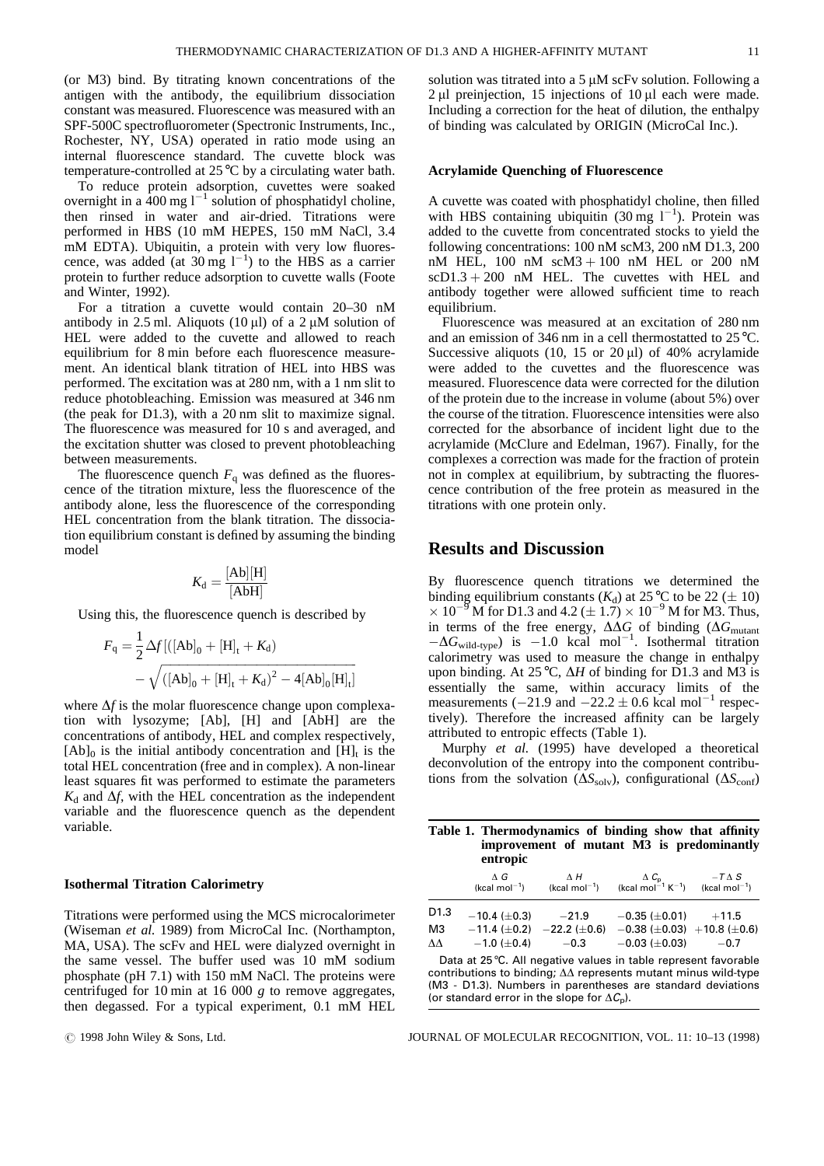(or M3) bind. By titrating known concentrations of the antigen with the antibody, the equilibrium dissociation constant was measured. Fluorescence was measured with an SPF-500C spectrofluorometer (Spectronic Instruments, Inc., Rochester, NY, USA) operated in ratio mode using an internal fluorescence standard. The cuvette block was temperature-controlled at 25°C by a circulating water bath.

To reduce protein adsorption, cuvettes were soaked overnight in a  $\frac{1}{4}00$  mg  $1^{-1}$  solution of phosphatidyl choline, then rinsed in water and air-dried. Titrations were performed in HBS (10 mM HEPES, 150 mM NaCl, 3.4 mM EDTA). Ubiquitin, a protein with very low fluorescence, was added (at  $30 \text{ mg } 1^{-1}$ ) to the HBS as a carrier protein to further reduce adsorption to cuvette walls (Foote and Winter, 1992).

For a titration a cuvette would contain 20–30 nM antibody in 2.5 ml. Aliquots (10  $\mu$ l) of a 2  $\mu$ M solution of HEL were added to the cuvette and allowed to reach equilibrium for 8 min before each fluorescence measurement. An identical blank titration of HEL into HBS was performed. The excitation was at 280 nm, with a 1 nm slit to reduce photobleaching. Emission was measured at 346 nm (the peak for D1.3), with a 20 nm slit to maximize signal. The fluorescence was measured for 10 s and averaged, and the excitation shutter was closed to prevent photobleaching between measurements.

The fluorescence quench  $F_q$  was defined as the fluorescence of the titration mixture, less the fluorescence of the antibody alone, less the fluorescence of the corresponding HEL concentration from the blank titration. The dissociation equilibrium constant is defined by assuming the binding model

$$
K_{\rm d} = \frac{\rm [Ab][H]}{\rm [AbH]}
$$

Using this, the fluorescence quench is described by

$$
F_{q} = \frac{1}{2} \Delta f [([Ab]_{0} + [H]_{t} + K_{d})
$$
  
-  $\sqrt{([Ab]_{0} + [H]_{t} + K_{d})^{2} - 4[Ab]_{0}[H]_{t}]}$ 

where  $\Delta f$  is the molar fluorescence change upon complexation with lysozyme; [Ab], [H] and [AbH] are the concentrations of antibody, HEL and complex respectively,  $[Ab]_0$  is the initial antibody concentration and  $[H]_t$  is the total HEL concentration (free and in complex). A non-linear least squares fit was performed to estimate the parameters  $K_d$  and  $\Delta f$ , with the HEL concentration as the independent variable and the fluorescence quench as the dependent variable.

#### **Isothermal Titration Calorimetry**

Titrations were performed using the MCS microcalorimeter (Wiseman *et al.* 1989) from MicroCal Inc. (Northampton, MA, USA). The scFv and HEL were dialyzed overnight in the same vessel. The buffer used was 10 mM sodium phosphate (pH 7.1) with 150 mM NaCl. The proteins were centrifuged for 10 min at 16 000 *g* to remove aggregates, then degassed. For a typical experiment, 0.1 mM HEL

solution was titrated into a  $5 \mu$ M scFv solution. Following a  $2 \mu l$  preinjection, 15 injections of 10  $\mu l$  each were made. Including a correction for the heat of dilution, the enthalpy of binding was calculated by ORIGIN (MicroCal Inc.).

#### **Acrylamide Quenching of Fluorescence**

A cuvette was coated with phosphatidyl choline, then filled with HBS containing ubiquitin  $(30 \text{ mg } 1^{-1})$ . Protein was added to the cuvette from concentrated stocks to yield the following concentrations: 100 nM scM3, 200 nM D1.3, 200 nM HEL,  $100$  nM  $scM3 + 100$  nM HEL or  $200$  nM  $scD1.3 + 200$  nM HEL. The cuvettes with HEL and antibody together were allowed sufficient time to reach equilibrium.

Fluorescence was measured at an excitation of 280 nm and an emission of 346 nm in a cell thermostatted to 25°C. Successive aliquots (10, 15 or 20  $\mu$ I) of 40% acrylamide were added to the cuvettes and the fluorescence was measured. Fluorescence data were corrected for the dilution of the protein due to the increase in volume (about 5%) over the course of the titration. Fluorescence intensities were also corrected for the absorbance of incident light due to the acrylamide (McClure and Edelman, 1967). Finally, for the complexes a correction was made for the fraction of protein not in complex at equilibrium, by subtracting the fluorescence contribution of the free protein as measured in the titrations with one protein only.

## **Results and Discussion**

By fluorescence quench titrations we determined the binding equilibrium constants  $(K_d)$  at 25 °C to be 22 ( $\pm$  10)  $\times 10^{-9}$  M for D1.3 and 4.2 ( $\pm 1.7$ )  $\times 10^{-9}$  M for M3. Thus, in terms of the free energy,  $\Delta\Delta G$  of binding ( $\Delta G$ <sub>mutant</sub>  $-\Delta G_{\text{wild-type}}$ ) is  $-1.0$  kcal mol<sup>-1</sup>. Isothermal titration calorimetry was used to measure the change in enthalpy upon binding. At 25 °C,  $\Delta H$  of binding for D1.3 and M3 is essentially the same, within accuracy limits of the measurements ( $-21.9$  and  $-22.2 \pm 0.6$  kcal mol<sup>-1</sup> respectively). Therefore the increased affinity can be largely attributed to entropic effects (Table 1).

Murphy *et al.* (1995) have developed a theoretical deconvolution of the entropy into the component contributions from the solvation ( $\Delta S_{\text{solv}}$ ), configurational ( $\Delta S_{\text{conf}}$ )

| Table 1. Thermodynamics of binding show that affinity<br>improvement of mutant M3 is predominantly<br>entropic                    |                             |  |                                                                                                                                                                             |  |
|-----------------------------------------------------------------------------------------------------------------------------------|-----------------------------|--|-----------------------------------------------------------------------------------------------------------------------------------------------------------------------------|--|
|                                                                                                                                   |                             |  | $\Delta G$ $\Delta H$ $\Delta C_p$ $-T \Delta S$<br>(kcal mol <sup>-1</sup> ) (kcal mol <sup>-1</sup> ) (kcal mol <sup>-1</sup> K <sup>-1</sup> ) (kcal mol <sup>-1</sup> ) |  |
| D <sub>1.3</sub>                                                                                                                  | $-10.4 \ (\pm 0.3)$ $-21.9$ |  | $-0.35 \ (\pm 0.01)$ $+11.5$                                                                                                                                                |  |
| ΜЗ                                                                                                                                |                             |  | $-11.4 \ (\pm 0.2)$ $-22.2 \ (\pm 0.6)$ $-0.38 \ (\pm 0.03)$ $+10.8 \ (\pm 0.6)$                                                                                            |  |
| $\Delta\Delta$                                                                                                                    | $-1.0$ ( $\pm$ 0.4) $-0.3$  |  | $-0.03 \ (\pm 0.03) \qquad -0.7$                                                                                                                                            |  |
| Data at 25 °C. All negative values in table represent favorable<br>contributions to binding: AA represents mutant minus wild type |                             |  |                                                                                                                                                                             |  |

putions to binding;  $\Delta\Delta$  represents mutant minus wild-t (M3 - D1.3). Numbers in parentheses are standard deviations (or standard error in the slope for  $\Delta C_p$ ).

# 1998 John Wiley & Sons, Ltd. JOURNAL OF MOLECULAR RECOGNITION, VOL. 11: 10–13 (1998)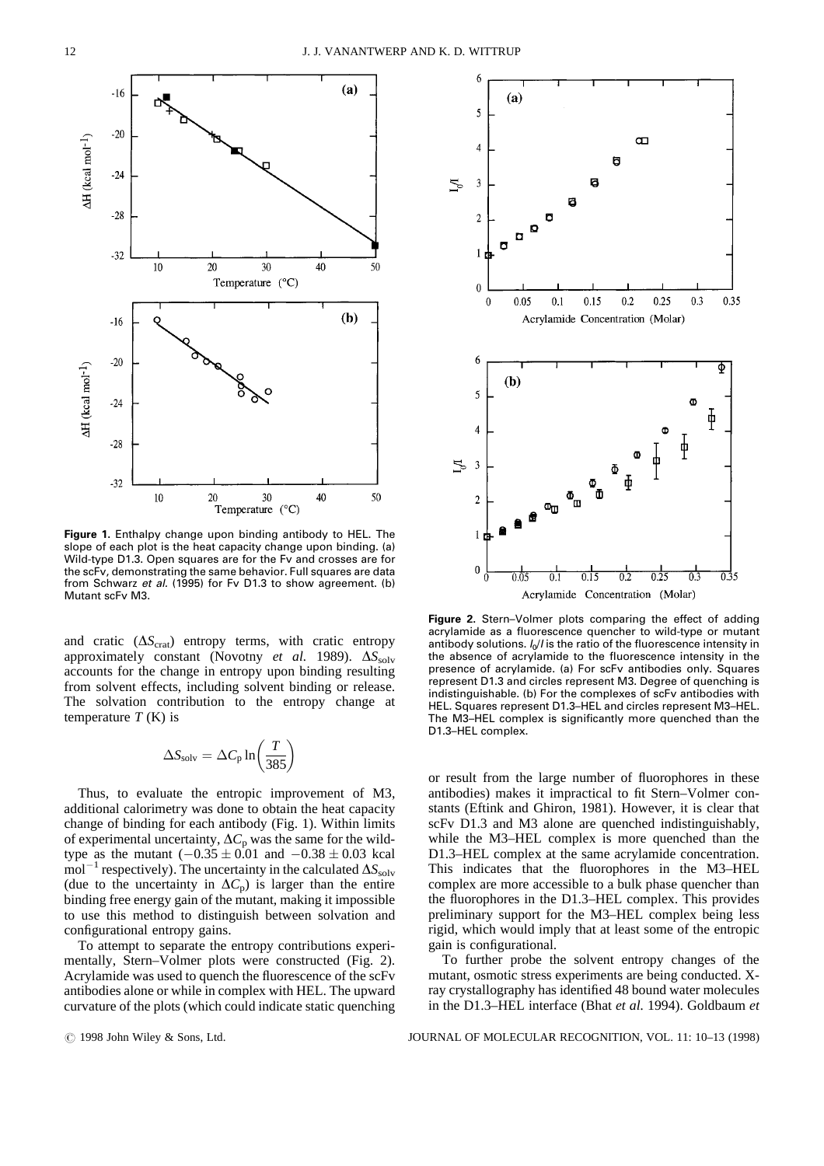

Figure 1. Enthalpy change upon binding antibody to HEL. The slope of each plot is the heat capacity change upon binding. (a) Wild-type D1.3. Open squares are for the Fv and crosses are for the scFv, demonstrating the same behavior. Full squares are data from Schwarz et al. (1995) for Fv D1.3 to show agreement. (b) Mutant scFv M3.

and cratic  $(\Delta S_{\text{crat}})$  entropy terms, with cratic entropy approximately constant (Novotny *et al.* 1989).  $\Delta S_{\text{solv}}$ accounts for the change in entropy upon binding resulting from solvent effects, including solvent binding or release. The solvation contribution to the entropy change at temperature  $T(K)$  is

$$
\Delta S_{\text{solv}} = \Delta C_{\text{p}} \ln \left( \frac{T}{385} \right)
$$

Thus, to evaluate the entropic improvement of M3, additional calorimetry was done to obtain the heat capacity change of binding for each antibody (Fig. 1). Within limits of experimental uncertainty,  $\Delta C_p$  was the same for the wildtype as the mutant  $(-0.35 \pm 0.01$  and  $-0.38 \pm 0.03$  kcal  $\text{mol}^{-1}$  respectively). The uncertainty in the calculated  $\Delta S_{\text{solv}}$ (due to the uncertainty in  $\Delta C_p$ ) is larger than the entire binding free energy gain of the mutant, making it impossible to use this method to distinguish between solvation and configurational entropy gains.

To attempt to separate the entropy contributions experimentally, Stern–Volmer plots were constructed (Fig. 2). Acrylamide was used to quench the fluorescence of the scFv antibodies alone or while in complex with HEL. The upward curvature of the plots (which could indicate static quenching



Figure 2. Stern-Volmer plots comparing the effect of adding acrylamide as a fluorescence quencher to wild-type or mutant antibody solutions.  $I_0/I$  is the ratio of the fluorescence intensity in the absence of acrylamide to the fluorescence intensity in the presence of acrylamide. (a) For scFv antibodies only. Squares represent D1.3 and circles represent M3. Degree of quenching is indistinguishable. (b) For the complexes of scFv antibodies with HEL. Squares represent D1.3-HEL and circles represent M3-HEL. The M3-HEL complex is significantly more quenched than the D1.3-HEL complex.

or result from the large number of fluorophores in these antibodies) makes it impractical to fit Stern–Volmer constants (Eftink and Ghiron, 1981). However, it is clear that scFv D1.3 and M3 alone are quenched indistinguishably, while the M3–HEL complex is more quenched than the D1.3–HEL complex at the same acrylamide concentration. This indicates that the fluorophores in the M3–HEL complex are more accessible to a bulk phase quencher than the fluorophores in the D1.3–HEL complex. This provides preliminary support for the M3–HEL complex being less rigid, which would imply that at least some of the entropic gain is configurational.

To further probe the solvent entropy changes of the mutant, osmotic stress experiments are being conducted. Xray crystallography has identified 48 bound water molecules in the D1.3–HEL interface (Bhat *et al.* 1994). Goldbaum *et*

# 1998 John Wiley & Sons, Ltd. JOURNAL OF MOLECULAR RECOGNITION, VOL. 11: 10–13 (1998)